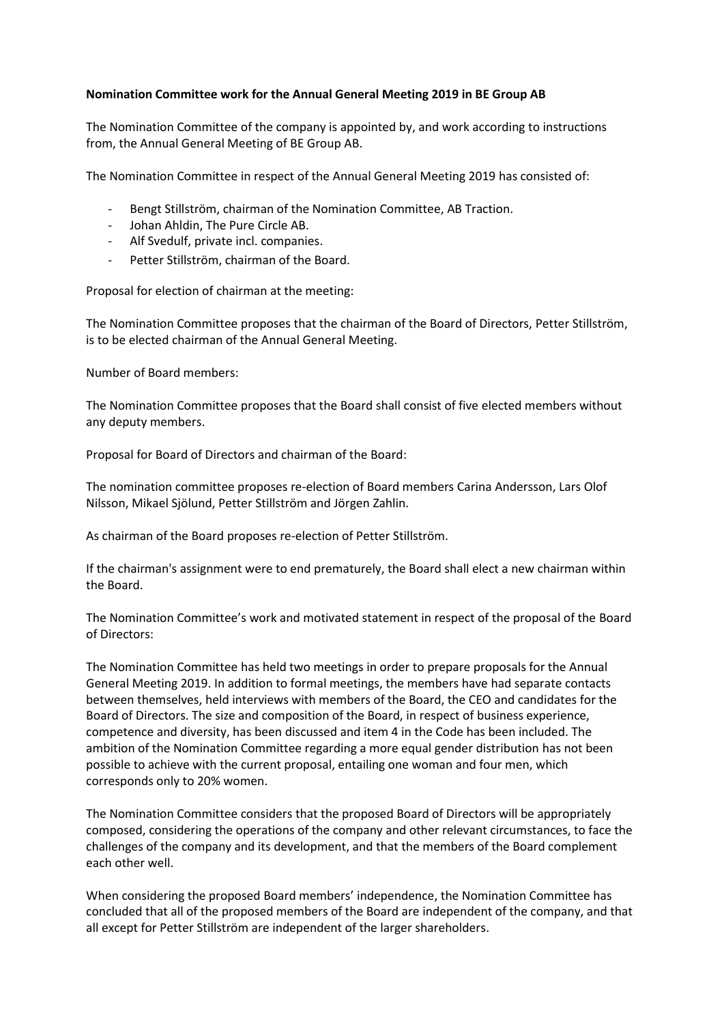## **Nomination Committee work for the Annual General Meeting 2019 in BE Group AB**

The Nomination Committee of the company is appointed by, and work according to instructions from, the Annual General Meeting of BE Group AB.

The Nomination Committee in respect of the Annual General Meeting 2019 has consisted of:

- Bengt Stillström, chairman of the Nomination Committee, AB Traction.
- Johan Ahldin, The Pure Circle AB.
- Alf Svedulf, private incl. companies.
- Petter Stillström, chairman of the Board.

Proposal for election of chairman at the meeting:

The Nomination Committee proposes that the chairman of the Board of Directors, Petter Stillström, is to be elected chairman of the Annual General Meeting.

Number of Board members:

The Nomination Committee proposes that the Board shall consist of five elected members without any deputy members.

Proposal for Board of Directors and chairman of the Board:

The nomination committee proposes re-election of Board members Carina Andersson, Lars Olof Nilsson, Mikael Sjölund, Petter Stillström and Jörgen Zahlin.

As chairman of the Board proposes re-election of Petter Stillström.

If the chairman's assignment were to end prematurely, the Board shall elect a new chairman within the Board.

The Nomination Committee's work and motivated statement in respect of the proposal of the Board of Directors:

The Nomination Committee has held two meetings in order to prepare proposals for the Annual General Meeting 2019. In addition to formal meetings, the members have had separate contacts between themselves, held interviews with members of the Board, the CEO and candidates for the Board of Directors. The size and composition of the Board, in respect of business experience, competence and diversity, has been discussed and item 4 in the Code has been included. The ambition of the Nomination Committee regarding a more equal gender distribution has not been possible to achieve with the current proposal, entailing one woman and four men, which corresponds only to 20% women.

The Nomination Committee considers that the proposed Board of Directors will be appropriately composed, considering the operations of the company and other relevant circumstances, to face the challenges of the company and its development, and that the members of the Board complement each other well.

When considering the proposed Board members' independence, the Nomination Committee has concluded that all of the proposed members of the Board are independent of the company, and that all except for Petter Stillström are independent of the larger shareholders.